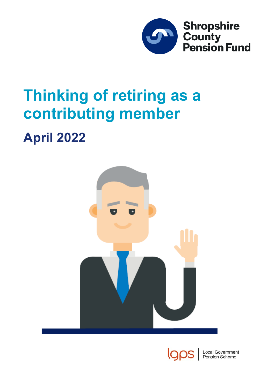

# **Thinking of retiring as a contributing member**

# **April 2022**





ocal Government Pension Scheme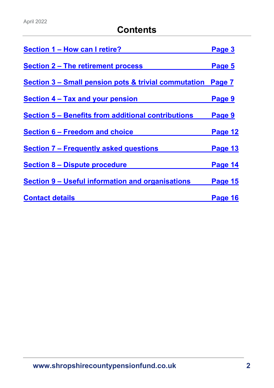# **Contents**

| Section 1 - How can I retire?                             | Page 3  |
|-----------------------------------------------------------|---------|
| <b>Section 2 – The retirement process</b>                 | Page 5  |
| Section 3 – Small pension pots & trivial commutation      | Page 7  |
| <b>Section 4 – Tax and your pension</b>                   | Page 9  |
| <b>Section 5 - Benefits from additional contributions</b> | Page 9  |
| <b>Section 6 – Freedom and choice</b>                     | Page 12 |
| <b>Section 7 - Frequently asked questions</b>             | Page 13 |
| <b>Section 8 - Dispute procedure</b>                      | Page 14 |
| Section 9 – Useful information and organisations          | Page 15 |
| <b>Contact details</b>                                    | Page 16 |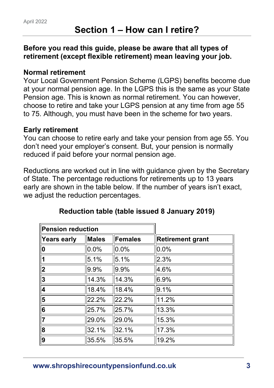#### <span id="page-2-0"></span>**Before you read this guide, please be aware that all types of retirement (except flexible retirement) mean leaving your job.**

#### **Normal retirement**

Your Local Government Pension Scheme (LGPS) benefits become due at your normal pension age. In the LGPS this is the same as your State Pension age. This is known as normal retirement. You can however, choose to retire and take your LGPS pension at any time from age 55 to 75. Although, you must have been in the scheme for two years.

#### **Early retirement**

You can choose to retire early and take your pension from age 55. You don't need your employer's consent. But, your pension is normally reduced if paid before your normal pension age.

Reductions are worked out in line with guidance given by the Secretary of State. The percentage reductions for retirements up to 13 years early are shown in the table below. If the number of years isn't exact, we adjust the reduction percentages.

| <b>Pension reduction</b> |              |                |                         |
|--------------------------|--------------|----------------|-------------------------|
| <b>Years early</b>       | <b>Males</b> | <b>Females</b> | <b>Retirement grant</b> |
| 0                        | 0.0%         | 0.0%           | 0.0%                    |
|                          | 5.1%         | 5.1%           | 2.3%                    |
| $\overline{\mathbf{2}}$  | 9.9%         | 9.9%           | 4.6%                    |
| 3                        | 14.3%        | 14.3%          | 6.9%                    |
| 4                        | 18.4%        | 18.4%          | 9.1%                    |
| 5                        | 22.2%        | 22.2%          | 11.2%                   |
| 6                        | 25.7%        | 25.7%          | 13.3%                   |
| $\overline{7}$           | 29.0%        | 29.0%          | 15.3%                   |
| 8                        | 32.1%        | 32.1%          | 17.3%                   |
| 9                        | 35.5%        | 35.5%          | 19.2%                   |

# **Reduction table (table issued 8 January 2019)**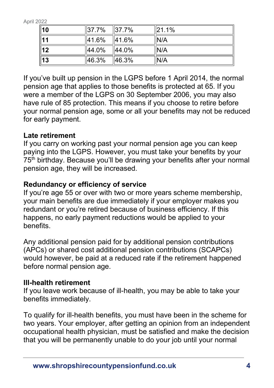| $\parallel$ 10  | 37.7% | II37.7% | 21.1% |
|-----------------|-------|---------|-------|
| $\overline{11}$ | 41.6% | 41.6%   | N/A   |
| $\overline{12}$ | 44.0% | 44.0%   | IN/A  |
| $\sqrt{13}$     | 46.3% | 46.3%   | IN/A  |

If you've built up pension in the LGPS before 1 April 2014, the normal pension age that applies to those benefits is protected at 65. If you were a member of the LGPS on 30 September 2006, you may also have rule of 85 protection. This means if you choose to retire before your normal pension age, some or all your benefits may not be reduced for early payment.

# **Late retirement**

If you carry on working past your normal pension age you can keep paying into the LGPS. However, you must take your benefits by your 75<sup>th</sup> birthday. Because you'll be drawing your benefits after your normal pension age, they will be increased.

# **Redundancy or efficiency of service**

If you're age 55 or over with two or more years scheme membership, your main benefits are due immediately if your employer makes you redundant or you're retired because of business efficiency. If this happens, no early payment reductions would be applied to your benefits.

Any additional pension paid for by additional pension contributions (APCs) or shared cost additional pension contributions (SCAPCs) would however, be paid at a reduced rate if the retirement happened before normal pension age.

# **Ill-health retirement**

If you leave work because of ill-health, you may be able to take your benefits immediately.

To qualify for ill-health benefits, you must have been in the scheme for two years. Your employer, after getting an opinion from an independent occupational health physician, must be satisfied and make the decision that you will be permanently unable to do your job until your normal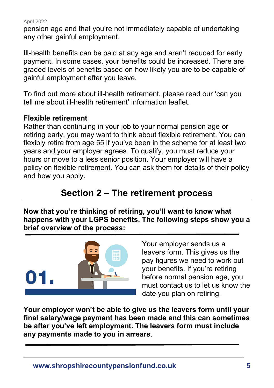pension age and that you're not immediately capable of undertaking any other gainful employment.

Ill-health benefits can be paid at any age and aren't reduced for early payment. In some cases, your benefits could be increased. There are graded levels of benefits based on how likely you are to be capable of gainful employment after you leave.

To find out more about ill-health retirement, please read our 'can you tell me about ill-health retirement' information leaflet.

#### **Flexible retirement**

Rather than continuing in your job to your normal pension age or retiring early, you may want to think about flexible retirement. You can flexibly retire from age 55 if you've been in the scheme for at least two years and your employer agrees. To qualify, you must reduce your hours or move to a less senior position. Your employer will have a policy on flexible retirement. You can ask them for details of their policy and how you apply.

# **Section 2 – The retirement process**

<span id="page-4-0"></span>**Now that you're thinking of retiring, you'll want to know what happens with your LGPS benefits. The following steps show you a brief overview of the process:**



Your employer sends us a leavers form. This gives us the pay figures we need to work out your benefits. If you're retiring before normal pension age, you must contact us to let us know the date you plan on retiring.

**Your employer won't be able to give us the leavers form until your final salary/wage payment has been made and this can sometimes be after you've left employment. The leavers form must include any payments made to you in arrears**.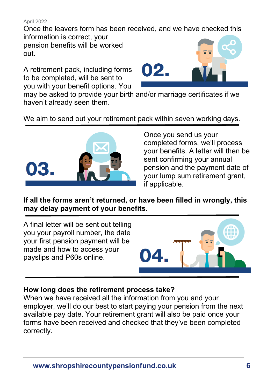Once the leavers form has been received, and we have checked this information is correct, your

pension benefits will be worked out.

A retirement pack, including forms to be completed, will be sent to you with your benefit options. You



may be asked to provide your birth and/or marriage certificates if we haven't already seen them.

We aim to send out your retirement pack within seven working days.



Once you send us your completed forms, we'll process your benefits. A letter will then be sent confirming your annual pension and the payment date of your lump sum retirement grant, if applicable.

**If all the forms aren't returned, or have been filled in wrongly, this may delay payment of your benefits**.

A final letter will be sent out telling you your payroll number, the date your first pension payment will be made and how to access your payslips and P60s online.



#### **How long does the retirement process take?**

When we have received all the information from you and your employer, we'll do our best to start paying your pension from the next available pay date. Your retirement grant will also be paid once your forms have been received and checked that they've been completed correctly.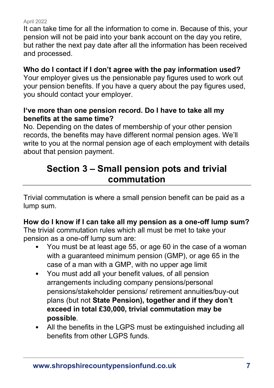It can take time for all the information to come in. Because of this, your pension will not be paid into your bank account on the day you retire, but rather the next pay date after all the information has been received and processed.

## **Who do I contact if I don't agree with the pay information used?**

Your employer gives us the pensionable pay figures used to work out your pension benefits. If you have a query about the pay figures used, you should contact your employer.

#### **I've more than one pension record. Do I have to take all my benefits at the same time?**

No. Depending on the dates of membership of your other pension records, the benefits may have different normal pension ages. We'll write to you at the normal pension age of each employment with details about that pension payment.

# <span id="page-6-0"></span>**Section 3 – Small pension pots and trivial commutation**

Trivial commutation is where a small pension benefit can be paid as a lump sum.

# **How do I know if I can take all my pension as a one-off lump sum?**

The trivial commutation rules which all must be met to take your pension as a one-off lump sum are:

- You must be at least age 55, or age 60 in the case of a woman with a guaranteed minimum pension (GMP), or age 65 in the case of a man with a GMP, with no upper age limit
- You must add all your benefit values, of all pension arrangements including company pensions/personal pensions/stakeholder pensions/ retirement annuities/buy-out plans (but not **State Pension), together and if they don't exceed in total £30,000, trivial commutation may be possible**.
- All the benefits in the LGPS must be extinguished including all benefits from other LGPS funds.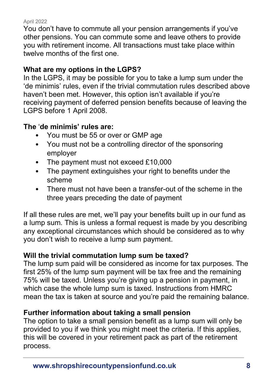You don't have to commute all your pension arrangements if you've other pensions. You can commute some and leave others to provide you with retirement income. All transactions must take place within twelve months of the first one.

## **What are my options in the LGPS?**

In the LGPS, it may be possible for you to take a lump sum under the 'de minimis' rules, even if the trivial commutation rules described above haven't been met. However, this option isn't available if you're receiving payment of deferred pension benefits because of leaving the LGPS before 1 April 2008.

# **The** '**de minimis' rules are:**

- You must be 55 or over or GMP age
- You must not be a controlling director of the sponsoring employer
- The payment must not exceed £10,000
- The payment extinguishes your right to benefits under the scheme
- There must not have been a transfer-out of the scheme in the three years preceding the date of payment

If all these rules are met, we'll pay your benefits built up in our fund as a lump sum. This is unless a formal request is made by you describing any exceptional circumstances which should be considered as to why you don't wish to receive a lump sum payment.

# **Will the trivial commutation lump sum be taxed?**

The lump sum paid will be considered as income for tax purposes. The first 25% of the lump sum payment will be tax free and the remaining 75% will be taxed. Unless you're giving up a pension in payment, in which case the whole lump sum is taxed. Instructions from HMRC mean the tax is taken at source and you're paid the remaining balance.

# **Further information about taking a small pension**

The option to take a small pension benefit as a lump sum will only be provided to you if we think you might meet the criteria. If this applies, this will be covered in your retirement pack as part of the retirement process.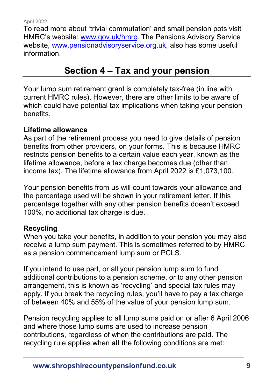To read more about 'trivial commutation' and small pension pots visit HMRC's website: [www.gov.uk/hmrc.](http://www.gov.uk/hmrc) The Pensions Advisory Service website, [www.pensionadvisoryservice.org.uk,](http://www.pensionadvisoryservice.org.uk/) also has some useful information.

# **Section 4 – Tax and your pension**

<span id="page-8-0"></span>Your lump sum retirement grant is completely tax-free (in line with current HMRC rules). However, there are other limits to be aware of which could have potential tax implications when taking your pension benefits.

#### **Lifetime allowance**

As part of the retirement process you need to give details of pension benefits from other providers, on your forms. This is because HMRC restricts pension benefits to a certain value each year, known as the lifetime allowance, before a tax charge becomes due (other than income tax). The lifetime allowance from April 2022 is £1,073,100.

Your pension benefits from us will count towards your allowance and the percentage used will be shown in your retirement letter. If this percentage together with any other pension benefits doesn't exceed 100%, no additional tax charge is due.

#### **Recycling**

When you take your benefits, in addition to your pension you may also receive a lump sum payment. This is sometimes referred to by HMRC as a pension commencement lump sum or PCLS.

If you intend to use part, or all your pension lump sum to fund additional contributions to a pension scheme, or to any other pension arrangement, this is known as 'recycling' and special tax rules may apply. If you break the recycling rules, you'll have to pay a tax charge of between 40% and 55% of the value of your pension lump sum.

Pension recycling applies to all lump sums paid on or after 6 April 2006 and where those lump sums are used to increase pension contributions, regardless of when the contributions are paid. The recycling rule applies when **all** the following conditions are met: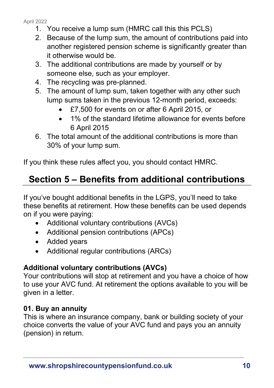- 1. You receive a lump sum (HMRC call this this PCLS)
- 2. Because of the lump sum, the amount of contributions paid into another registered pension scheme is significantly greater than it otherwise would be.
- 3. The additional contributions are made by yourself or by someone else, such as your employer.
- 4. The recycling was pre-planned.
- 5. The amount of lump sum, taken together with any other such lump sums taken in the previous 12-month period, exceeds:
	- £7,500 for events on or after 6 April 2015, or
	- 1% of the standard lifetime allowance for events before 6 April 2015
- 6. The total amount of the additional contributions is more than 30% of your lump sum.

<span id="page-9-0"></span>If you think these rules affect you, you should contact HMRC.

# **Section 5 – Benefits from additional contributions**

If you've bought additional benefits in the LGPS, you'll need to take these benefits at retirement. How these benefits can be used depends on if you were paying:

- Additional voluntary contributions (AVCs)
- Additional pension contributions (APCs)
- Added years
- Additional regular contributions (ARCs)

# **Additional voluntary contributions (AVCs)**

Your contributions will stop at retirement and you have a choice of how to use your AVC fund. At retirement the options available to you will be given in a letter.

# **01. Buy an annuity**

This is where an insurance company, bank or building society of your choice converts the value of your AVC fund and pays you an annuity (pension) in return.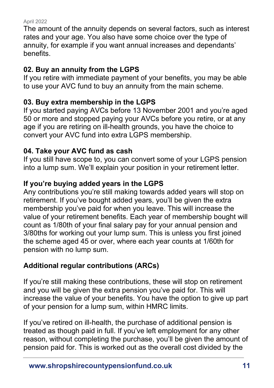The amount of the annuity depends on several factors, such as interest rates and your age. You also have some choice over the type of annuity, for example if you want annual increases and dependants' benefits.

# **02. Buy an annuity from the LGPS**

If you retire with immediate payment of your benefits, you may be able to use your AVC fund to buy an annuity from the main scheme.

# **03. Buy extra membership in the LGPS**

If you started paying AVCs before 13 November 2001 and you're aged 50 or more and stopped paying your AVCs before you retire, or at any age if you are retiring on ill-health grounds, you have the choice to convert your AVC fund into extra LGPS membership.

# **04. Take your AVC fund as cash**

If you still have scope to, you can convert some of your LGPS pension into a lump sum. We'll explain your position in your retirement letter.

# **If you're buying added years in the LGPS**

Any contributions you're still making towards added years will stop on retirement. If you've bought added years, you'll be given the extra membership you've paid for when you leave. This will increase the value of your retirement benefits. Each year of membership bought will count as 1/80th of your final salary pay for your annual pension and 3/80ths for working out your lump sum. This is unless you first joined the scheme aged 45 or over, where each year counts at 1/60th for pension with no lump sum.

# **Additional regular contributions (ARCs)**

If you're still making these contributions, these will stop on retirement and you will be given the extra pension you've paid for. This will increase the value of your benefits. You have the option to give up part of your pension for a lump sum, within HMRC limits.

If you've retired on ill-health, the purchase of additional pension is treated as though paid in full. If you've left employment for any other reason, without completing the purchase, you'll be given the amount of pension paid for. This is worked out as the overall cost divided by the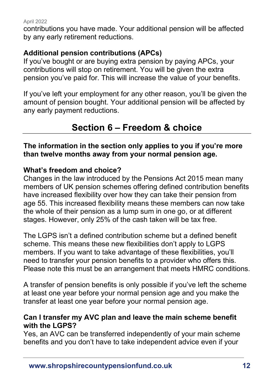contributions you have made. Your additional pension will be affected by any early retirement reductions.

## **Additional pension contributions (APCs)**

If you've bought or are buying extra pension by paying APCs, your contributions will stop on retirement. You will be given the extra pension you've paid for. This will increase the value of your benefits.

<span id="page-11-0"></span>If you've left your employment for any other reason, you'll be given the amount of pension bought. Your additional pension will be affected by any early payment reductions.

# **Section 6 – Freedom & choice**

**The information in the section only applies to you if you're more than twelve months away from your normal pension age.**

#### **What's freedom and choice?**

Changes in the law introduced by the Pensions Act 2015 mean many members of UK pension schemes offering defined contribution benefits have increased flexibility over how they can take their pension from age 55. This increased flexibility means these members can now take the whole of their pension as a lump sum in one go, or at different stages. However, only 25% of the cash taken will be tax free.

The LGPS isn't a defined contribution scheme but a defined benefit scheme. This means these new flexibilities don't apply to LGPS members. If you want to take advantage of these flexibilities, you'll need to transfer your pension benefits to a provider who offers this. Please note this must be an arrangement that meets HMRC conditions.

A transfer of pension benefits is only possible if you've left the scheme at least one year before your normal pension age and you make the transfer at least one year before your normal pension age.

#### **Can I transfer my AVC plan and leave the main scheme benefit with the LGPS?**

Yes, an AVC can be transferred independently of your main scheme benefits and you don't have to take independent advice even if your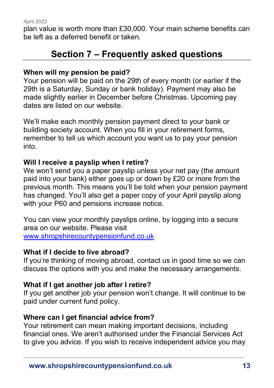<span id="page-12-0"></span>plan value is worth more than £30,000. Your main scheme benefits can be left as a deferred benefit or taken.

# **Section 7 – Frequently asked questions**

# **When will my pension be paid?**

Your pension will be paid on the 29th of every month (or earlier if the 29th is a Saturday, Sunday or bank holiday). Payment may also be made slightly earlier in December before Christmas. Upcoming pay dates are listed on our website.

We'll make each monthly pension payment direct to your bank or building society account. When you fill in your retirement forms, remember to tell us which account you want us to pay your pension into.

#### **Will I receive a payslip when I retire?**

We won't send you a paper payslip unless your net pay (the amount paid into your bank) either goes up or down by £20 or more from the previous month. This means you'll be told when your pension payment has changed. You'll also get a paper copy of your April payslip along with your P60 and pensions increase notice.

You can view your monthly payslips online, by logging into a secure area on our website. Please visit [www.shropshirecountypensionfund.co.uk](http://www.shropshirecountypensionfund.co.uk/)

#### **What if I decide to live abroad?**

If you're thinking of moving abroad, contact us in good time so we can discuss the options with you and make the necessary arrangements.

#### **What if I get another job after I retire?**

If you get another job your pension won't change. It will continue to be paid under current fund policy.

#### **Where can I get financial advice from?**

Your retirement can mean making important decisions, including financial ones. We aren't authorised under the Financial Services Act to give you advice. If you wish to receive independent advice you may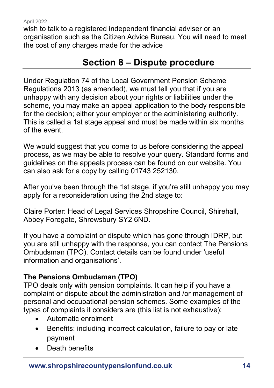<span id="page-13-0"></span>wish to talk to a registered independent financial adviser or an organisation such as the Citizen Advice Bureau. You will need to meet the cost of any charges made for the advice

# **Section 8 – Dispute procedure**

Under Regulation 74 of the Local Government Pension Scheme Regulations 2013 (as amended), we must tell you that if you are unhappy with any decision about your rights or liabilities under the scheme, you may make an appeal application to the body responsible for the decision; either your employer or the administering authority. This is called a 1st stage appeal and must be made within six months of the event.

We would suggest that you come to us before considering the appeal process, as we may be able to resolve your query. Standard forms and guidelines on the appeals process can be found on our website. You can also ask for a copy by calling 01743 252130.

After you've been through the 1st stage, if you're still unhappy you may apply for a reconsideration using the 2nd stage to:

Claire Porter: Head of Legal Services Shropshire Council, Shirehall, Abbey Foregate, Shrewsbury SY2 6ND.

If you have a complaint or dispute which has gone through IDRP, but you are still unhappy with the response, you can contact The Pensions Ombudsman (TPO). Contact details can be found under 'useful information and organisations'.

# **The Pensions Ombudsman (TPO)**

TPO deals only with pension complaints. It can help if you have a complaint or dispute about the administration and /or management of personal and occupational pension schemes. Some examples of the types of complaints it considers are (this list is not exhaustive):

- Automatic enrolment
- Benefits: including incorrect calculation, failure to pay or late payment
- Death benefits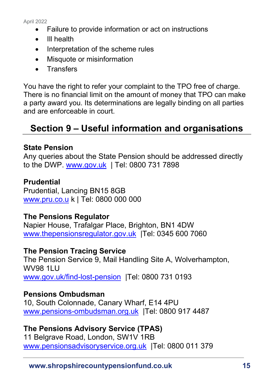- Failure to provide information or act on instructions
- Ill health
- Interpretation of the scheme rules
- Misquote or misinformation
- Transfers

You have the right to refer your complaint to the TPO free of charge. There is no financial limit on the amount of money that TPO can make a party award you. Its determinations are legally binding on all parties and are enforceable in court.

# <span id="page-14-0"></span>**Section 9 – Useful information and organisations**

## **State Pension**

Any queries about the State Pension should be addressed directly to the DWP. [www.gov.uk](http://www.gov.uk/) | Tel: 0800 731 7898

#### **Prudential**

Prudential, Lancing BN15 8GB [www.pru.co.u](http://www.pru.co.u/) k | Tel: 0800 000 000

#### **The Pensions Regulator**

Napier House, Trafalgar Place, Brighton, BN1 4DW [www.thepensionsregulator.gov.uk](http://www.thepensionsregulator.gov.uk/) |Tel: 0345 600 7060

#### **The Pension Tracing Service**

The Pension Service 9, Mail Handling Site A, Wolverhampton, WV98 1LU [www.gov.uk/find-lost-pension](http://www.gov.uk/find-lost-pension) |Tel: 0800 731 0193

# **Pensions Ombudsman**

10, South Colonnade, Canary Wharf, E14 4PU [www.pensions-ombudsman.org.uk](http://www.pensions-ombudsman.org.uk/) |Tel: 0800 917 4487

# **The Pensions Advisory Service (TPAS)**

11 Belgrave Road, London, SW1V 1RB [www.pensionsadvisoryservice.org.uk](http://www.pensionsadvisoryservice.org.uk/) |Tel: 0800 011 379